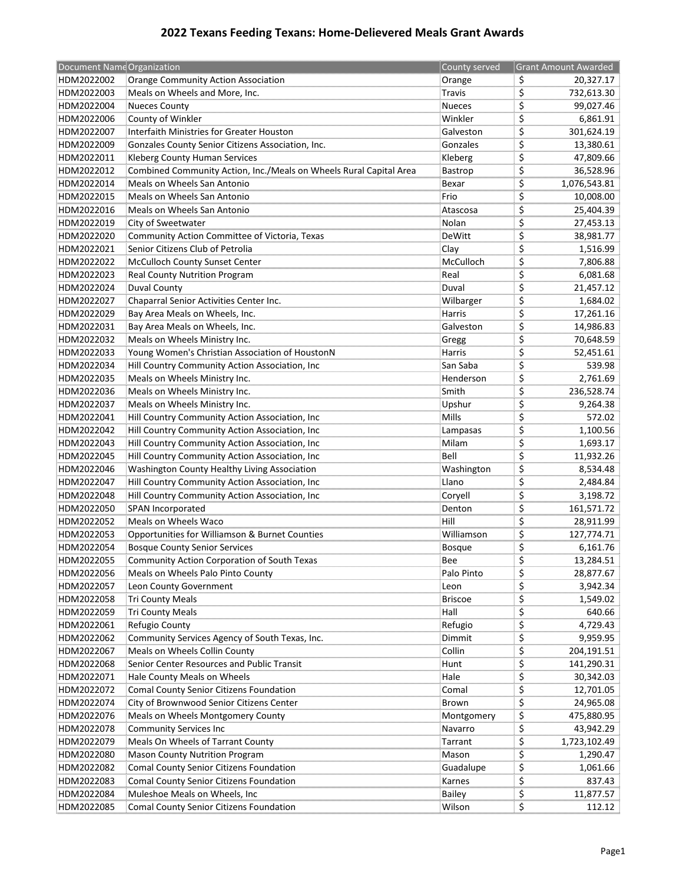## **2022 Texans Feeding Texans: Home‐Delievered Meals Grant Awards**

| Document NameOrganization |                                                                    | County served  | <b>Grant Amount Awarded</b> |
|---------------------------|--------------------------------------------------------------------|----------------|-----------------------------|
| HDM2022002                | Orange Community Action Association                                | Orange         | \$<br>20,327.17             |
| HDM2022003                | Meals on Wheels and More, Inc.                                     | <b>Travis</b>  | \$<br>732,613.30            |
| HDM2022004                | Nueces County                                                      | <b>Nueces</b>  | \$<br>99,027.46             |
| HDM2022006                | County of Winkler                                                  | Winkler        | \$<br>6,861.91              |
| HDM2022007                | Interfaith Ministries for Greater Houston                          | Galveston      | \$<br>301,624.19            |
| HDM2022009                | Gonzales County Senior Citizens Association, Inc.                  | Gonzales       | \$<br>13,380.61             |
| HDM2022011                | Kleberg County Human Services                                      | Kleberg        | \$<br>47,809.66             |
| HDM2022012                | Combined Community Action, Inc./Meals on Wheels Rural Capital Area | Bastrop        | \$<br>36,528.96             |
| HDM2022014                | Meals on Wheels San Antonio                                        | Bexar          | \$<br>1,076,543.81          |
| HDM2022015                | Meals on Wheels San Antonio                                        | Frio           | \$<br>10,008.00             |
| HDM2022016                | Meals on Wheels San Antonio                                        | Atascosa       | \$<br>25,404.39             |
| HDM2022019                | City of Sweetwater                                                 | Nolan          | \$<br>27,453.13             |
| HDM2022020                | Community Action Committee of Victoria, Texas                      | DeWitt         | \$<br>38,981.77             |
| HDM2022021                | Senior Citizens Club of Petrolia                                   | Clay           | \$<br>1,516.99              |
| HDM2022022                | McCulloch County Sunset Center                                     | McCulloch      | \$<br>7,806.88              |
| HDM2022023                | Real County Nutrition Program                                      | Real           | \$<br>6,081.68              |
| HDM2022024                | Duval County                                                       | Duval          | \$<br>21,457.12             |
| HDM2022027                | Chaparral Senior Activities Center Inc.                            | Wilbarger      | \$<br>1,684.02              |
| HDM2022029                | Bay Area Meals on Wheels, Inc.                                     | Harris         | \$<br>17,261.16             |
| HDM2022031                | Bay Area Meals on Wheels, Inc.                                     | Galveston      | \$<br>14,986.83             |
| HDM2022032                | Meals on Wheels Ministry Inc.                                      | Gregg          | \$<br>70,648.59             |
| HDM2022033                | Young Women's Christian Association of HoustonN                    | Harris         | \$<br>52,451.61             |
| HDM2022034                | Hill Country Community Action Association, Inc                     | San Saba       | \$<br>539.98                |
| HDM2022035                | Meals on Wheels Ministry Inc.                                      | Henderson      | \$<br>2,761.69              |
| HDM2022036                | Meals on Wheels Ministry Inc.                                      | Smith          | \$<br>236,528.74            |
| HDM2022037                | Meals on Wheels Ministry Inc.                                      | Upshur         | \$<br>9,264.38              |
| HDM2022041                | Hill Country Community Action Association, Inc                     | Mills          | \$<br>572.02                |
| HDM2022042                | Hill Country Community Action Association, Inc                     | Lampasas       | \$<br>1,100.56              |
| HDM2022043                | Hill Country Community Action Association, Inc                     | Milam          | \$<br>1,693.17              |
| HDM2022045                | Hill Country Community Action Association, Inc                     | Bell           | \$<br>11,932.26             |
| HDM2022046                | Washington County Healthy Living Association                       | Washington     | \$<br>8,534.48              |
| HDM2022047                | Hill Country Community Action Association, Inc                     | Llano          | \$<br>2,484.84              |
| HDM2022048                | Hill Country Community Action Association, Inc                     | Coryell        | \$<br>3,198.72              |
| HDM2022050                | SPAN Incorporated                                                  | Denton         | \$<br>161,571.72            |
| HDM2022052                | Meals on Wheels Waco                                               | Hill           | \$<br>28,911.99             |
| HDM2022053                | Opportunities for Williamson & Burnet Counties                     | Williamson     | \$<br>127,774.71            |
| HDM2022054                | <b>Bosque County Senior Services</b>                               | <b>Bosque</b>  | \$<br>6,161.76              |
| HDM2022055                | Community Action Corporation of South Texas                        | Bee            | \$<br>13,284.51             |
| HDM2022056                | Meals on Wheels Palo Pinto County                                  | Palo Pinto     | \$<br>28,877.67             |
| HDM2022057                | Leon County Government                                             | Leon           | \$<br>3,942.34              |
| HDM2022058                | Tri County Meals                                                   | <b>Briscoe</b> | \$<br>1,549.02              |
| HDM2022059                | Tri County Meals                                                   | Hall           | \$<br>640.66                |
| HDM2022061                | Refugio County                                                     | Refugio        | \$<br>4,729.43              |
| HDM2022062                | Community Services Agency of South Texas, Inc.                     | Dimmit         | \$<br>9,959.95              |
| HDM2022067                | Meals on Wheels Collin County                                      | Collin         | \$<br>204,191.51            |
| HDM2022068                | Senior Center Resources and Public Transit                         | Hunt           | \$<br>141,290.31            |
| HDM2022071                | Hale County Meals on Wheels                                        | Hale           | \$<br>30,342.03             |
| HDM2022072                | Comal County Senior Citizens Foundation                            | Comal          | \$<br>12,701.05             |
| HDM2022074                | City of Brownwood Senior Citizens Center                           | Brown          | \$<br>24,965.08             |
| HDM2022076                | Meals on Wheels Montgomery County                                  | Montgomery     | \$<br>475,880.95            |
| HDM2022078                | Community Services Inc                                             | Navarro        | \$<br>43,942.29             |
| HDM2022079                | Meals On Wheels of Tarrant County                                  | Tarrant        | \$<br>1,723,102.49          |
| HDM2022080                | Mason County Nutrition Program                                     | Mason          | \$<br>1,290.47              |
| HDM2022082                | Comal County Senior Citizens Foundation                            | Guadalupe      | \$<br>1,061.66              |
| HDM2022083                | Comal County Senior Citizens Foundation                            | Karnes         | \$<br>837.43                |
| HDM2022084                | Muleshoe Meals on Wheels, Inc                                      | <b>Bailey</b>  | \$<br>11,877.57             |
| HDM2022085                | Comal County Senior Citizens Foundation                            | Wilson         | \$<br>112.12                |
|                           |                                                                    |                |                             |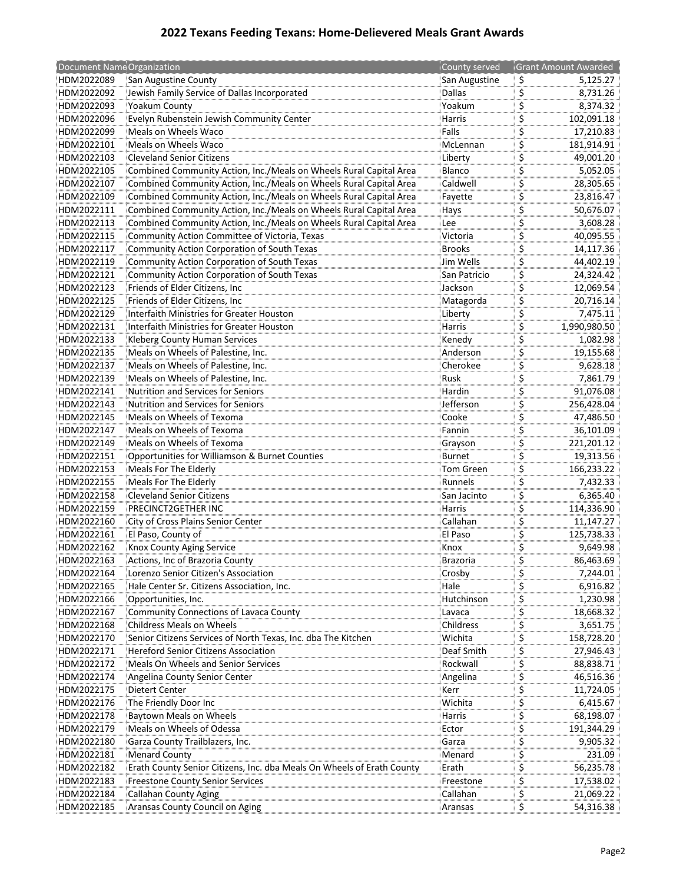## **2022 Texans Feeding Texans: Home‐Delievered Meals Grant Awards**

| Document NameOrganization |                                                                        | County served        | <b>Grant Amount Awarded</b> |
|---------------------------|------------------------------------------------------------------------|----------------------|-----------------------------|
| HDM2022089                | San Augustine County                                                   | San Augustine        | \$<br>5,125.27              |
| HDM2022092                | Jewish Family Service of Dallas Incorporated                           | <b>Dallas</b>        | \$<br>8,731.26              |
| HDM2022093                | Yoakum County                                                          | Yoakum               | \$<br>8,374.32              |
| HDM2022096                | Evelyn Rubenstein Jewish Community Center                              | Harris               | \$<br>102,091.18            |
| HDM2022099                | Meals on Wheels Waco                                                   | Falls                | \$<br>17,210.83             |
| HDM2022101                | Meals on Wheels Waco                                                   | McLennan             | \$<br>181,914.91            |
| HDM2022103                | <b>Cleveland Senior Citizens</b>                                       | Liberty              | \$<br>49,001.20             |
| HDM2022105                | Combined Community Action, Inc./Meals on Wheels Rural Capital Area     | Blanco               | \$<br>5,052.05              |
| HDM2022107                | Combined Community Action, Inc./Meals on Wheels Rural Capital Area     | Caldwell             | \$<br>28,305.65             |
| HDM2022109                | Combined Community Action, Inc./Meals on Wheels Rural Capital Area     | Fayette              | \$<br>23,816.47             |
| HDM2022111                | Combined Community Action, Inc./Meals on Wheels Rural Capital Area     | Hays                 | \$<br>50,676.07             |
| HDM2022113                | Combined Community Action, Inc./Meals on Wheels Rural Capital Area     | Lee                  | \$<br>3,608.28              |
| HDM2022115                | Community Action Committee of Victoria, Texas                          | Victoria             | \$<br>40,095.55             |
| HDM2022117                | Community Action Corporation of South Texas                            | <b>Brooks</b>        | \$<br>14,117.36             |
| HDM2022119                | Community Action Corporation of South Texas                            | Jim Wells            | \$<br>44,402.19             |
| HDM2022121                | Community Action Corporation of South Texas                            | San Patricio         | \$<br>24,324.42             |
| HDM2022123                | Friends of Elder Citizens, Inc                                         | Jackson              | \$<br>12,069.54             |
| HDM2022125                | Friends of Elder Citizens, Inc                                         | Matagorda            | \$<br>20,716.14             |
| HDM2022129                | Interfaith Ministries for Greater Houston                              | Liberty              | \$<br>7,475.11              |
| HDM2022131                | Interfaith Ministries for Greater Houston                              | Harris               | \$<br>1,990,980.50          |
| HDM2022133                | Kleberg County Human Services                                          | Kenedy               | \$<br>1,082.98              |
|                           | Meals on Wheels of Palestine, Inc.                                     |                      |                             |
| HDM2022135                |                                                                        | Anderson<br>Cherokee | \$<br>19,155.68             |
| HDM2022137                | Meals on Wheels of Palestine, Inc.                                     |                      | \$<br>9,628.18<br>7.861.79  |
| HDM2022139                | Meals on Wheels of Palestine, Inc.                                     | Rusk                 | \$                          |
| HDM2022141                | Nutrition and Services for Seniors                                     | Hardin               | \$<br>91,076.08             |
| HDM2022143                | <b>Nutrition and Services for Seniors</b>                              | Jefferson            | \$<br>256,428.04            |
| HDM2022145                | Meals on Wheels of Texoma                                              | Cooke                | \$<br>47,486.50             |
| HDM2022147                | Meals on Wheels of Texoma                                              | Fannin               | \$<br>36,101.09             |
| HDM2022149                | Meals on Wheels of Texoma                                              | Grayson              | \$<br>221,201.12            |
| HDM2022151                | Opportunities for Williamson & Burnet Counties                         | <b>Burnet</b>        | \$<br>19,313.56             |
| HDM2022153                | Meals For The Elderly                                                  | <b>Tom Green</b>     | \$<br>166,233.22            |
| HDM2022155                | Meals For The Elderly                                                  | Runnels              | \$<br>7,432.33              |
| HDM2022158                | <b>Cleveland Senior Citizens</b>                                       | San Jacinto          | \$<br>6,365.40              |
| HDM2022159                | PRECINCT2GETHER INC                                                    | Harris               | \$<br>114,336.90            |
| HDM2022160                | City of Cross Plains Senior Center                                     | Callahan             | \$<br>11,147.27             |
| HDM2022161                | El Paso, County of                                                     | El Paso              | \$<br>125.738.33            |
| HDM2022162                | Knox County Aging Service                                              | Knox                 | \$<br>9,649.98              |
| HDM2022163                | Actions, Inc of Brazoria County                                        | Brazoria             | \$<br>86,463.69             |
| HDM2022164                | Lorenzo Senior Citizen's Association                                   | Crosby               | \$<br>7,244.01              |
| HDM2022165                | Hale Center Sr. Citizens Association, Inc.                             | Hale                 | \$<br>6,916.82              |
| HDM2022166                | Opportunities, Inc.                                                    | Hutchinson           | \$<br>1,230.98              |
| HDM2022167                | Community Connections of Lavaca County                                 | Lavaca               | \$<br>18,668.32             |
| HDM2022168                | Childress Meals on Wheels                                              | Childress            | \$<br>3,651.75              |
| HDM2022170                | Senior Citizens Services of North Texas, Inc. dba The Kitchen          | Wichita              | \$<br>158,728.20            |
| HDM2022171                | Hereford Senior Citizens Association                                   | Deaf Smith           | \$<br>27,946.43             |
| HDM2022172                | Meals On Wheels and Senior Services                                    | Rockwall             | \$<br>88,838.71             |
| HDM2022174                | Angelina County Senior Center                                          | Angelina             | \$<br>46,516.36             |
| HDM2022175                | Dietert Center                                                         | Kerr                 | \$<br>11,724.05             |
| HDM2022176                | The Friendly Door Inc                                                  | Wichita              | \$<br>6,415.67              |
| HDM2022178                | <b>Baytown Meals on Wheels</b>                                         | Harris               | \$<br>68,198.07             |
| HDM2022179                | Meals on Wheels of Odessa                                              | Ector                | \$<br>191,344.29            |
| HDM2022180                | Garza County Trailblazers, Inc.                                        | Garza                | \$<br>9,905.32              |
| HDM2022181                | <b>Menard County</b>                                                   | Menard               | \$<br>231.09                |
| HDM2022182                | Erath County Senior Citizens, Inc. dba Meals On Wheels of Erath County | Erath                | \$<br>56,235.78             |
| HDM2022183                | Freestone County Senior Services                                       | Freestone            | \$<br>17,538.02             |
| HDM2022184                | Callahan County Aging                                                  | Callahan             | \$<br>21,069.22             |
| HDM2022185                | Aransas County Council on Aging                                        |                      |                             |
|                           |                                                                        | Aransas              | \$<br>54,316.38             |